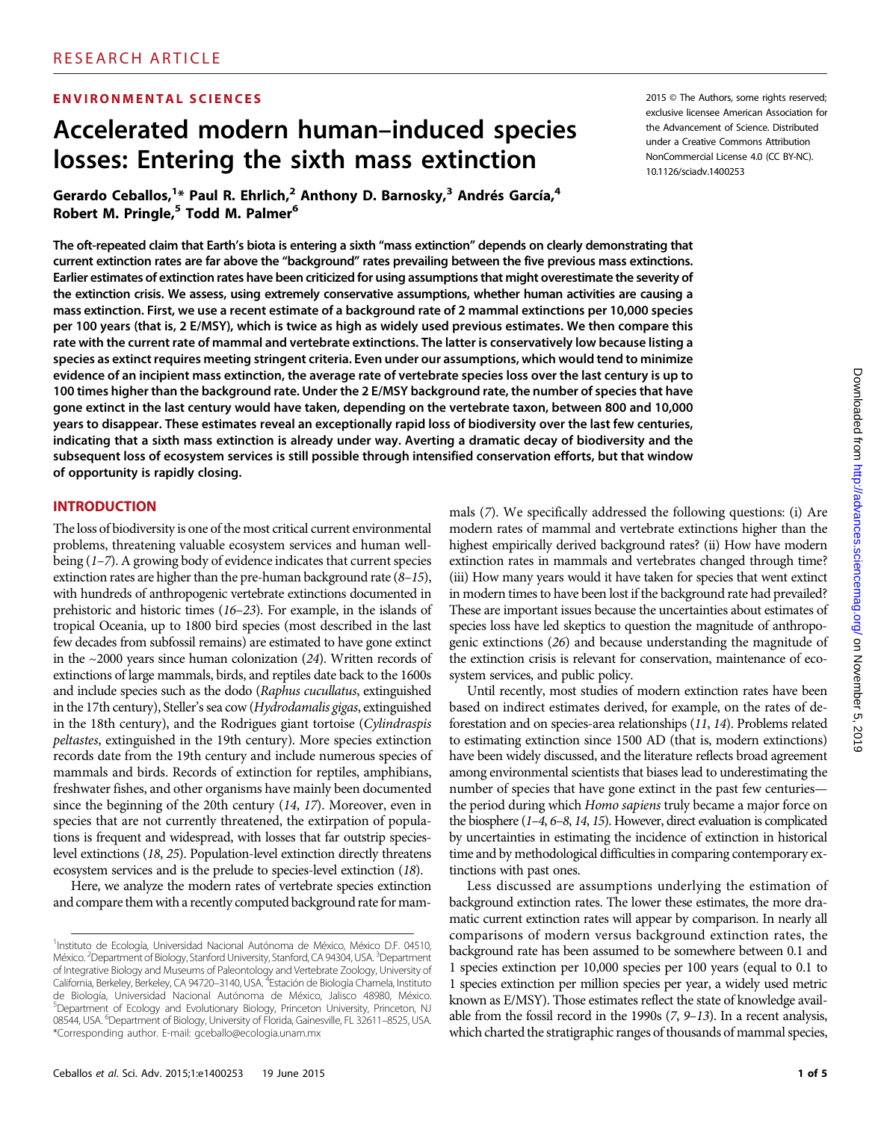#### ENVIRONMENTAL SCIENCES

# Accelerated modern human–induced species losses: Entering the sixth mass extinction

Gerardo Ceballos,<sup>1\*</sup> Paul R. Ehrlich,<sup>2</sup> Anthony D. Barnosky,<sup>3</sup> Andrés García,<sup>4</sup> Robert M. Pringle,<sup>5</sup> Todd M. Palmer<sup>6</sup>

The oft-repeated claim that Earth's biota is entering a sixth "mass extinction" depends on clearly demonstrating that current extinction rates are far above the "background" rates prevailing between the five previous mass extinctions. Earlier estimates of extinction rates have been criticized for using assumptions that might overestimate the severity of the extinction crisis. We assess, using extremely conservative assumptions, whether human activities are causing a mass extinction. First, we use a recent estimate of a background rate of 2 mammal extinctions per 10,000 species per 100 years (that is, 2 E/MSY), which is twice as high as widely used previous estimates. We then compare this rate with the current rate of mammal and vertebrate extinctions. The latter is conservatively low because listing a species as extinct requires meeting stringent criteria. Even under our assumptions, which would tend to minimize evidence of an incipient mass extinction, the average rate of vertebrate species loss over the last century is up to 100 times higher than the background rate. Under the 2 E/MSY background rate, the number of species that have gone extinct in the last century would have taken, depending on the vertebrate taxon, between 800 and 10,000 years to disappear. These estimates reveal an exceptionally rapid loss of biodiversity over the last few centuries, indicating that a sixth mass extinction is already under way. Averting a dramatic decay of biodiversity and the subsequent loss of ecosystem services is still possible through intensified conservation efforts, but that window of opportunity is rapidly closing.

#### INTRODUCTION

The loss of biodiversity is one of the most critical current environmental problems, threatening valuable ecosystem services and human wellbeing (1–7). A growing body of evidence indicates that current species extinction rates are higher than the pre-human background rate (8–15), with hundreds of anthropogenic vertebrate extinctions documented in prehistoric and historic times (16–23). For example, in the islands of tropical Oceania, up to 1800 bird species (most described in the last few decades from subfossil remains) are estimated to have gone extinct in the  $\sim$ 2000 years since human colonization (24). Written records of extinctions of large mammals, birds, and reptiles date back to the 1600s and include species such as the dodo (Raphus cucullatus, extinguished in the 17th century), Steller's sea cow (Hydrodamalis gigas, extinguished in the 18th century), and the Rodrigues giant tortoise (Cylindraspis peltastes, extinguished in the 19th century). More species extinction records date from the 19th century and include numerous species of mammals and birds. Records of extinction for reptiles, amphibians, freshwater fishes, and other organisms have mainly been documented since the beginning of the 20th century (14, 17). Moreover, even in species that are not currently threatened, the extirpation of populations is frequent and widespread, with losses that far outstrip specieslevel extinctions (18, 25). Population-level extinction directly threatens ecosystem services and is the prelude to species-level extinction (18).

Here, we analyze the modern rates of vertebrate species extinction and compare them with a recently computed background rate for mam2015 © The Authors, some rights reserved;

mals (7). We specifically addressed the following questions: (i) Are modern rates of mammal and vertebrate extinctions higher than the highest empirically derived background rates? (ii) How have modern extinction rates in mammals and vertebrates changed through time? (iii) How many years would it have taken for species that went extinct in modern times to have been lost if the background rate had prevailed? These are important issues because the uncertainties about estimates of species loss have led skeptics to question the magnitude of anthropogenic extinctions (26) and because understanding the magnitude of the extinction crisis is relevant for conservation, maintenance of ecosystem services, and public policy.

Until recently, most studies of modern extinction rates have been based on indirect estimates derived, for example, on the rates of deforestation and on species-area relationships (11, 14). Problems related to estimating extinction since 1500 AD (that is, modern extinctions) have been widely discussed, and the literature reflects broad agreement among environmental scientists that biases lead to underestimating the number of species that have gone extinct in the past few centuries the period during which Homo sapiens truly became a major force on the biosphere (1–4, 6–8, 14, 15). However, direct evaluation is complicated by uncertainties in estimating the incidence of extinction in historical time and by methodological difficulties in comparing contemporary extinctions with past ones.

Less discussed are assumptions underlying the estimation of background extinction rates. The lower these estimates, the more dramatic current extinction rates will appear by comparison. In nearly all comparisons of modern versus background extinction rates, the background rate has been assumed to be somewhere between 0.1 and 1 species extinction per 10,000 species per 100 years (equal to 0.1 to 1 species extinction per million species per year, a widely used metric known as E/MSY). Those estimates reflect the state of knowledge available from the fossil record in the 1990s (7, 9–13). In a recent analysis, which charted the stratigraphic ranges of thousands of mammal species,

<sup>&</sup>lt;sup>1</sup>Instituto de Ecología, Universidad Nacional Autónoma de México, México D.F. 04510, México.<sup>2</sup> Department of Biology, Stanford University, Stanford, CA 94304, USA.<sup>3</sup> Department of Integrative Biology and Museums of Paleontology and Vertebrate Zoology, University of California, Berkeley, Berkeley, CA 94720-3140, USA. <sup>4</sup>Estación de Biología Chamela, Instituto de Biología, Universidad Nacional Autónoma de México, Jalisco 48980, México.<br><sup>5</sup>Department of Ecology and Evolutionary Biology, Princeton University, Princeton, NJ 08544, USA. <sup>6</sup>Department of Biology, University of Florida, Gainesville, FL 32611-8525, USA. \*Corresponding author. E-mail: gceballo@ecologia.unam.mx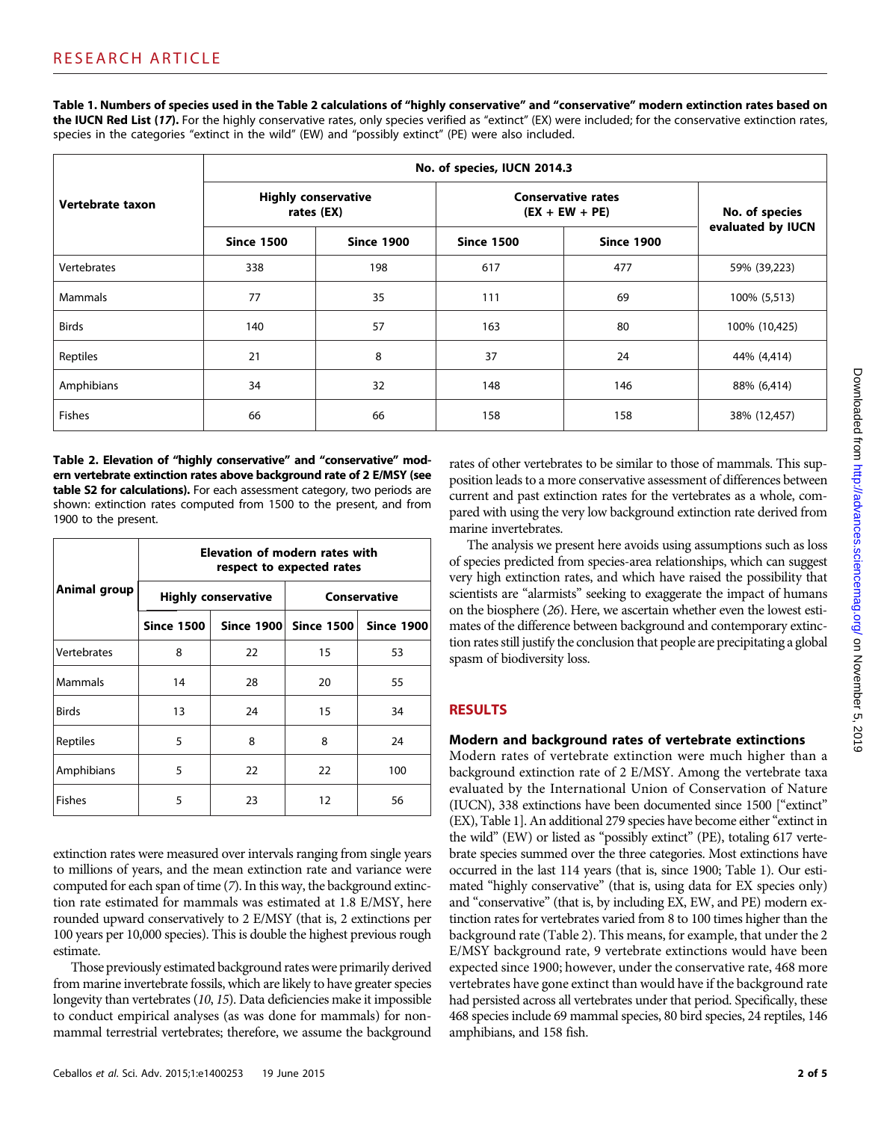Table 1. Numbers of species used in the Table 2 calculations of "highly conservative" and "conservative" modern extinction rates based on the IUCN Red List (17). For the highly conservative rates, only species verified as "extinct" (EX) were included; for the conservative extinction rates, species in the categories "extinct in the wild" (EW) and "possibly extinct" (PE) were also included.

|                  | No. of species, IUCN 2014.3              |                   |                                               |                   |                   |  |
|------------------|------------------------------------------|-------------------|-----------------------------------------------|-------------------|-------------------|--|
| Vertebrate taxon | <b>Highly conservative</b><br>rates (EX) |                   | <b>Conservative rates</b><br>$(EX + EW + PE)$ |                   | No. of species    |  |
|                  | <b>Since 1500</b>                        | <b>Since 1900</b> | <b>Since 1500</b>                             | <b>Since 1900</b> | evaluated by IUCN |  |
| Vertebrates      | 338                                      | 198               | 617                                           | 477               | 59% (39,223)      |  |
| Mammals          | 77                                       | 35                | 111                                           | 69                | 100% (5,513)      |  |
| <b>Birds</b>     | 140                                      | 57                | 163                                           | 80                | 100% (10,425)     |  |
| Reptiles         | 21                                       | 8                 | 37                                            | 24                | 44% (4,414)       |  |
| Amphibians       | 34                                       | 32                | 148                                           | 146               | 88% (6,414)       |  |
| <b>Fishes</b>    | 66                                       | 66                | 158                                           | 158               | 38% (12,457)      |  |

Table 2. Elevation of "highly conservative" and "conservative" modern vertebrate extinction rates above background rate of 2 E/MSY (see table S2 for calculations). For each assessment category, two periods are shown: extinction rates computed from 1500 to the present, and from 1900 to the present.

|                | Elevation of modern rates with<br>respect to expected rates |                            |                       |                   |  |  |
|----------------|-------------------------------------------------------------|----------------------------|-----------------------|-------------------|--|--|
| Animal group   |                                                             | <b>Highly conservative</b> | Conservative          |                   |  |  |
|                | <b>Since 1500</b>                                           |                            | Since 1900 Since 1500 | <b>Since 1900</b> |  |  |
| Vertebrates    | 8                                                           | 22                         | 15                    | 53                |  |  |
| <b>Mammals</b> | 14                                                          | 28                         | 20                    | 55                |  |  |
| <b>Birds</b>   | 13                                                          | 24                         | 15                    | 34                |  |  |
| Reptiles       | 5                                                           | 8                          | 8                     | 24                |  |  |
| Amphibians     | 5                                                           | 22                         | 22                    | 100               |  |  |
| <b>Fishes</b>  | 5                                                           | 23                         | 12                    | 56                |  |  |

extinction rates were measured over intervals ranging from single years to millions of years, and the mean extinction rate and variance were computed for each span of time (7). In this way, the background extinction rate estimated for mammals was estimated at 1.8 E/MSY, here rounded upward conservatively to 2 E/MSY (that is, 2 extinctions per 100 years per 10,000 species). This is double the highest previous rough estimate.

Those previously estimated background rates were primarily derived from marine invertebrate fossils, which are likely to have greater species longevity than vertebrates (10, 15). Data deficiencies make it impossible to conduct empirical analyses (as was done for mammals) for nonmammal terrestrial vertebrates; therefore, we assume the background

rates of other vertebrates to be similar to those of mammals. This supposition leads to a more conservative assessment of differences between current and past extinction rates for the vertebrates as a whole, compared with using the very low background extinction rate derived from marine invertebrates.

The analysis we present here avoids using assumptions such as loss of species predicted from species-area relationships, which can suggest very high extinction rates, and which have raised the possibility that scientists are "alarmists" seeking to exaggerate the impact of humans on the biosphere (26). Here, we ascertain whether even the lowest estimates of the difference between background and contemporary extinction rates still justify the conclusion that people are precipitating a global spasm of biodiversity loss.

# RESULTS

### Modern and background rates of vertebrate extinctions

Modern rates of vertebrate extinction were much higher than a background extinction rate of 2 E/MSY. Among the vertebrate taxa evaluated by the International Union of Conservation of Nature (IUCN), 338 extinctions have been documented since 1500 ["extinct" (EX), Table 1]. An additional 279 species have become either"extinct in the wild" (EW) or listed as "possibly extinct" (PE), totaling 617 vertebrate species summed over the three categories. Most extinctions have occurred in the last 114 years (that is, since 1900; Table 1). Our estimated "highly conservative" (that is, using data for EX species only) and "conservative" (that is, by including EX, EW, and PE) modern extinction rates for vertebrates varied from 8 to 100 times higher than the background rate (Table 2). This means, for example, that under the 2 E/MSY background rate, 9 vertebrate extinctions would have been expected since 1900; however, under the conservative rate, 468 more vertebrates have gone extinct than would have if the background rate had persisted across all vertebrates under that period. Specifically, these 468 species include 69 mammal species, 80 bird species, 24 reptiles, 146 amphibians, and 158 fish.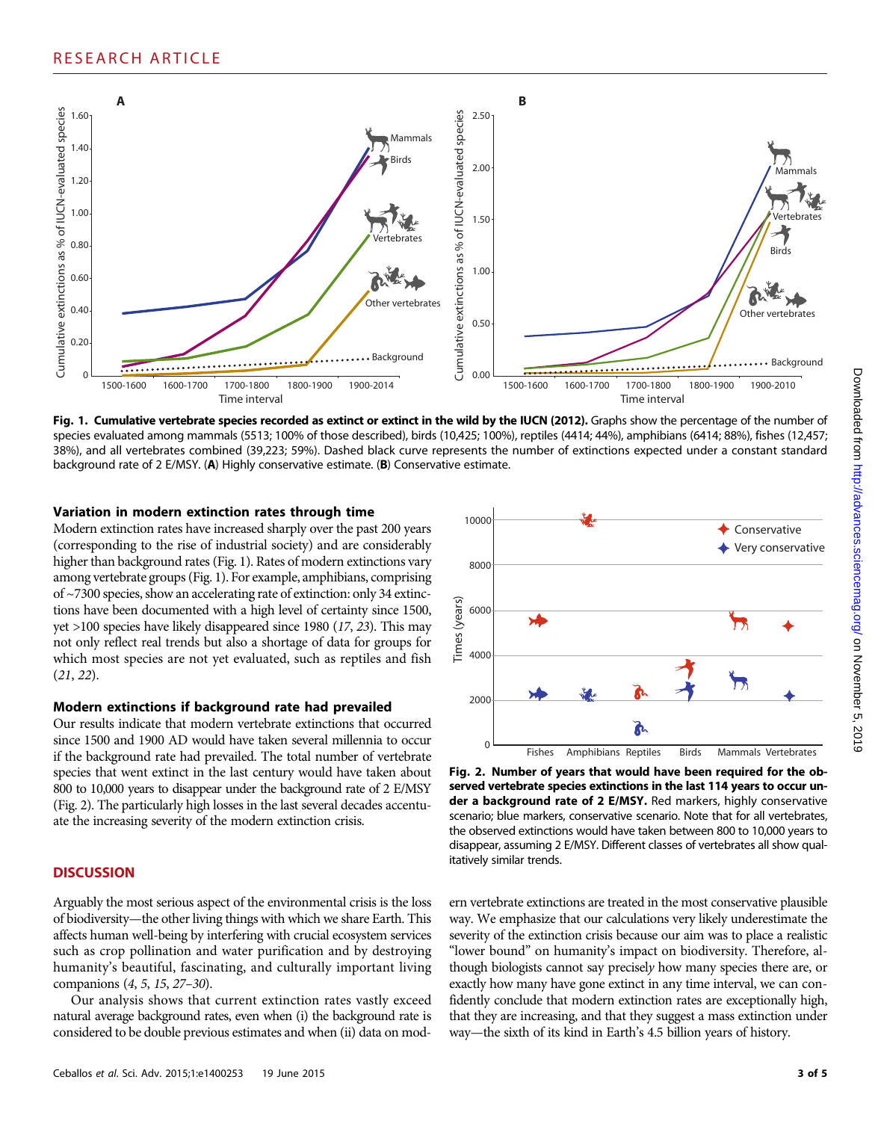

Fig. 1. Cumulative vertebrate species recorded as extinct or extinct in the wild by the IUCN (2012). Graphs show the percentage of the number of species evaluated among mammals (5513; 100% of those described), birds (10,425; 100%), reptiles (4414; 44%), amphibians (6414; 88%), fishes (12,457; 38%), and all vertebrates combined (39,223; 59%). Dashed black curve represents the number of extinctions expected under a constant standard background rate of 2 E/MSY. (A) Highly conservative estimate. (B) Conservative estimate.

#### Variation in modern extinction rates through time

Modern extinction rates have increased sharply over the past 200 years (corresponding to the rise of industrial society) and are considerably higher than background rates (Fig. 1). Rates of modern extinctions vary among vertebrate groups (Fig. 1). For example, amphibians, comprising of ~7300 species, show an accelerating rate of extinction: only 34 extinctions have been documented with a high level of certainty since 1500, yet >100 species have likely disappeared since 1980 (17, 23). This may not only reflect real trends but also a shortage of data for groups for which most species are not yet evaluated, such as reptiles and fish (21, 22).

#### Modern extinctions if background rate had prevailed

Our results indicate that modern vertebrate extinctions that occurred since 1500 and 1900 AD would have taken several millennia to occur if the background rate had prevailed. The total number of vertebrate species that went extinct in the last century would have taken about 800 to 10,000 years to disappear under the background rate of 2 E/MSY (Fig. 2). The particularly high losses in the last several decades accentuate the increasing severity of the modern extinction crisis.

#### **DISCUSSION**

Arguably the most serious aspect of the environmental crisis is the loss of biodiversity—the other living things with which we share Earth. This affects human well-being by interfering with crucial ecosystem services such as crop pollination and water purification and by destroying humanity's beautiful, fascinating, and culturally important living companions (4, 5, 15, 27–30).

Our analysis shows that current extinction rates vastly exceed natural average background rates, even when (i) the background rate is considered to be double previous estimates and when (ii) data on mod-



Fig. 2. Number of years that would have been required for the observed vertebrate species extinctions in the last 114 years to occur under a background rate of 2 E/MSY. Red markers, highly conservative scenario; blue markers, conservative scenario. Note that for all vertebrates, the observed extinctions would have taken between 800 to 10,000 years to disappear, assuming 2 E/MSY. Different classes of vertebrates all show qualitatively similar trends.

ern vertebrate extinctions are treated in the most conservative plausible way. We emphasize that our calculations very likely underestimate the severity of the extinction crisis because our aim was to place a realistic "lower bound" on humanity's impact on biodiversity. Therefore, although biologists cannot say precisely how many species there are, or exactly how many have gone extinct in any time interval, we can confidently conclude that modern extinction rates are exceptionally high, that they are increasing, and that they suggest a mass extinction under way—the sixth of its kind in Earth's 4.5 billion years of history.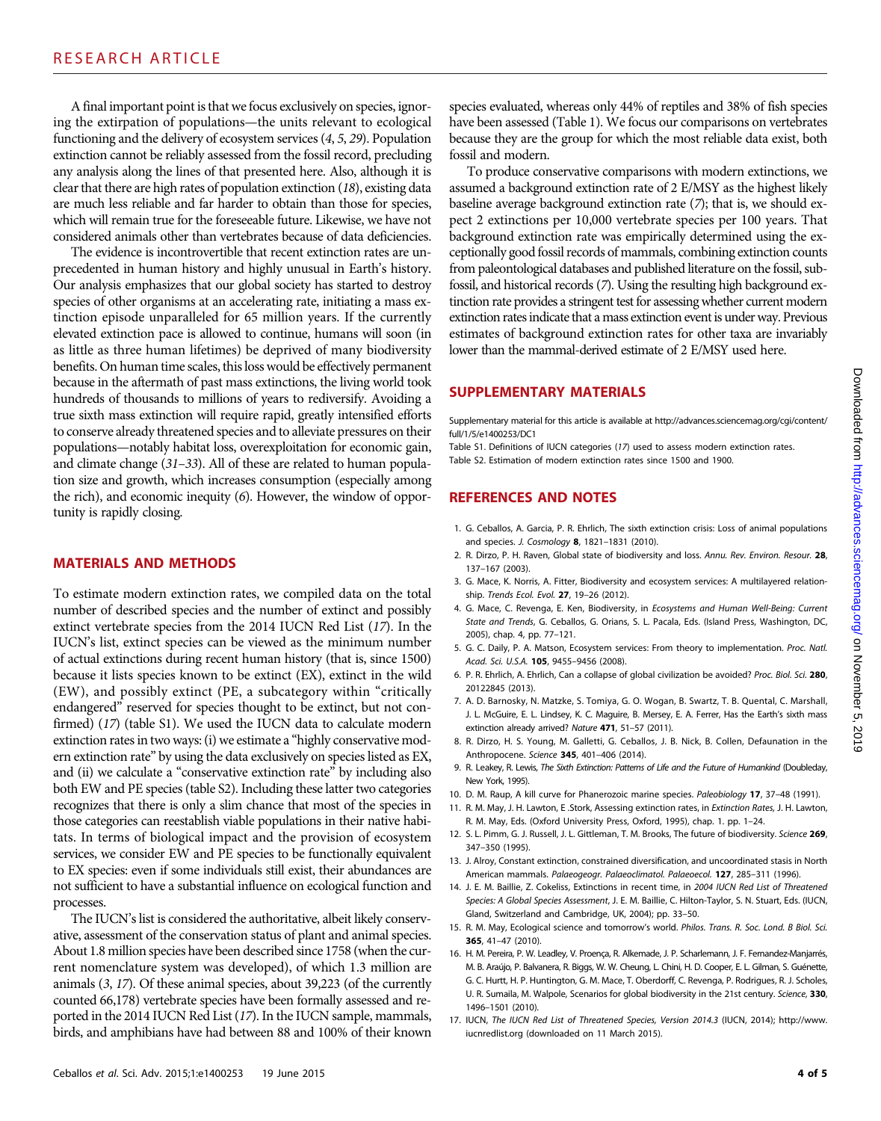A final important point is that we focus exclusively on species, ignoring the extirpation of populations—the units relevant to ecological functioning and the delivery of ecosystem services (4, 5, 29). Population extinction cannot be reliably assessed from the fossil record, precluding any analysis along the lines of that presented here. Also, although it is clear that there are high rates of population extinction (18), existing data are much less reliable and far harder to obtain than those for species, which will remain true for the foreseeable future. Likewise, we have not considered animals other than vertebrates because of data deficiencies.

The evidence is incontrovertible that recent extinction rates are unprecedented in human history and highly unusual in Earth's history. Our analysis emphasizes that our global society has started to destroy species of other organisms at an accelerating rate, initiating a mass extinction episode unparalleled for 65 million years. If the currently elevated extinction pace is allowed to continue, humans will soon (in as little as three human lifetimes) be deprived of many biodiversity benefits. On human time scales, this loss would be effectively permanent because in the aftermath of past mass extinctions, the living world took hundreds of thousands to millions of years to rediversify. Avoiding a true sixth mass extinction will require rapid, greatly intensified efforts to conserve already threatened species and to alleviate pressures on their populations—notably habitat loss, overexploitation for economic gain, and climate change (31–33). All of these are related to human population size and growth, which increases consumption (especially among the rich), and economic inequity (6). However, the window of opportunity is rapidly closing.

#### MATERIALS AND METHODS

To estimate modern extinction rates, we compiled data on the total number of described species and the number of extinct and possibly extinct vertebrate species from the 2014 IUCN Red List (17). In the IUCN's list, extinct species can be viewed as the minimum number of actual extinctions during recent human history (that is, since 1500) because it lists species known to be extinct (EX), extinct in the wild (EW), and possibly extinct (PE, a subcategory within "critically endangered" reserved for species thought to be extinct, but not confirmed) (17) (table S1). We used the IUCN data to calculate modern extinction rates in two ways: (i) we estimate a "highly conservative modern extinction rate" by using the data exclusively on species listed as EX, and (ii) we calculate a "conservative extinction rate" by including also both EW and PE species (table S2). Including these latter two categories recognizes that there is only a slim chance that most of the species in those categories can reestablish viable populations in their native habitats. In terms of biological impact and the provision of ecosystem services, we consider EW and PE species to be functionally equivalent to EX species: even if some individuals still exist, their abundances are not sufficient to have a substantial influence on ecological function and processes.

The IUCN's list is considered the authoritative, albeit likely conservative, assessment of the conservation status of plant and animal species. About 1.8 million species have been described since 1758 (when the current nomenclature system was developed), of which 1.3 million are animals (3, 17). Of these animal species, about 39,223 (of the currently counted 66,178) vertebrate species have been formally assessed and reported in the 2014 IUCN Red List (17). In the IUCN sample, mammals, birds, and amphibians have had between 88 and 100% of their known

species evaluated, whereas only 44% of reptiles and 38% of fish species have been assessed (Table 1). We focus our comparisons on vertebrates because they are the group for which the most reliable data exist, both fossil and modern.

To produce conservative comparisons with modern extinctions, we assumed a background extinction rate of 2 E/MSY as the highest likely baseline average background extinction rate (7); that is, we should expect 2 extinctions per 10,000 vertebrate species per 100 years. That background extinction rate was empirically determined using the exceptionally good fossil records of mammals, combining extinction counts from paleontological databases and published literature on the fossil, subfossil, and historical records (7). Using the resulting high background extinction rate provides a stringent test for assessing whether current modern extinction rates indicate that a mass extinction event is under way. Previous estimates of background extinction rates for other taxa are invariably lower than the mammal-derived estimate of 2 E/MSY used here.

#### SUPPLEMENTARY MATERIALS

Supplementary material for this article is available at [http://advances.sciencemag.org/cgi/content/](http://advances.sciencemag.org/cgi/content/full/1/5/e1400253/DC1) [full/1/5/e1400253/DC1](http://advances.sciencemag.org/cgi/content/full/1/5/e1400253/DC1)

Table S1. Definitions of IUCN categories (17) used to assess modern extinction rates. Table S2. Estimation of modern extinction rates since 1500 and 1900.

## REFERENCES AND NOTES

- 1. G. Ceballos, A. Garcia, P. R. Ehrlich, The sixth extinction crisis: Loss of animal populations and species. J. Cosmology 8, 1821–1831 (2010).
- 2. R. Dirzo, P. H. Raven, Global state of biodiversity and loss. Annu. Rev. Environ. Resour. 28, 137–167 (2003).
- 3. G. Mace, K. Norris, A. Fitter, Biodiversity and ecosystem services: A multilayered relationship. Trends Ecol. Evol. 27, 19–26 (2012).
- 4. G. Mace, C. Revenga, E. Ken, Biodiversity, in Ecosystems and Human Well-Being: Current State and Trends, G. Ceballos, G. Orians, S. L. Pacala, Eds. (Island Press, Washington, DC, 2005), chap. 4, pp. 77–121.
- 5. G. C. Daily, P. A. Matson, Ecosystem services: From theory to implementation. Proc. Natl. Acad. Sci. U.S.A. 105, 9455–9456 (2008).
- 6. P. R. Ehrlich, A. Ehrlich, Can a collapse of global civilization be avoided? Proc. Biol. Sci. 280, 20122845 (2013).
- 7. A. D. Barnosky, N. Matzke, S. Tomiya, G. O. Wogan, B. Swartz, T. B. Quental, C. Marshall, J. L. McGuire, E. L. Lindsey, K. C. Maguire, B. Mersey, E. A. Ferrer, Has the Earth's sixth mass extinction already arrived? Nature 471, 51-57 (2011).
- 8. R. Dirzo, H. S. Young, M. Galletti, G. Ceballos, J. B. Nick, B. Collen, Defaunation in the Anthropocene. Science 345, 401–406 (2014).
- 9. R. Leakey, R. Lewis, The Sixth Extinction: Patterns of Life and the Future of Humankind (Doubleday, New York, 1995).
- 10. D. M. Raup, A kill curve for Phanerozoic marine species. Paleobiology 17, 37–48 (1991).
- 11. R. M. May, J. H. Lawton, E. Stork, Assessing extinction rates, in Extinction Rates, J. H. Lawton, R. M. May, Eds. (Oxford University Press, Oxford, 1995), chap. 1. pp. 1–24.
- 12. S. L. Pimm, G. J. Russell, J. L. Gittleman, T. M. Brooks, The future of biodiversity. Science 269, 347–350 (1995).
- 13. J. Alroy, Constant extinction, constrained diversification, and uncoordinated stasis in North American mammals. Palaeogeogr. Palaeoclimatol. Palaeoecol. 127, 285-311 (1996).
- 14. J. E. M. Baillie, Z. Cokeliss, Extinctions in recent time, in 2004 IUCN Red List of Threatened Species: A Global Species Assessment, J. E. M. Baillie, C. Hilton-Taylor, S. N. Stuart, Eds. (IUCN, Gland, Switzerland and Cambridge, UK, 2004); pp. 33–50.
- 15. R. M. May, Ecological science and tomorrow's world. Philos. Trans. R. Soc. Lond. B Biol. Sci. 365, 41–47 (2010).
- 16. H. M. Pereira, P. W. Leadley, V. Proença, R. Alkemade, J. P. Scharlemann, J. F. Fernandez-Manjarrés, M. B. Araújo, P. Balvanera, R. Biggs, W. W. Cheung, L. Chini, H. D. Cooper, E. L. Gilman, S. Guénette, G. C. Hurtt, H. P. Huntington, G. M. Mace, T. Oberdorff, C. Revenga, P. Rodrigues, R. J. Scholes, U. R. Sumaila, M. Walpole, Scenarios for global biodiversity in the 21st century. Science, 330, 1496–1501 (2010).
- 17. IUCN, The IUCN Red List of Threatened Species, Version 2014.3 (IUCN, 2014); [http://www.](http://www.iucnredlist.org) [iucnredlist.org](http://www.iucnredlist.org) (downloaded on 11 March 2015).

5019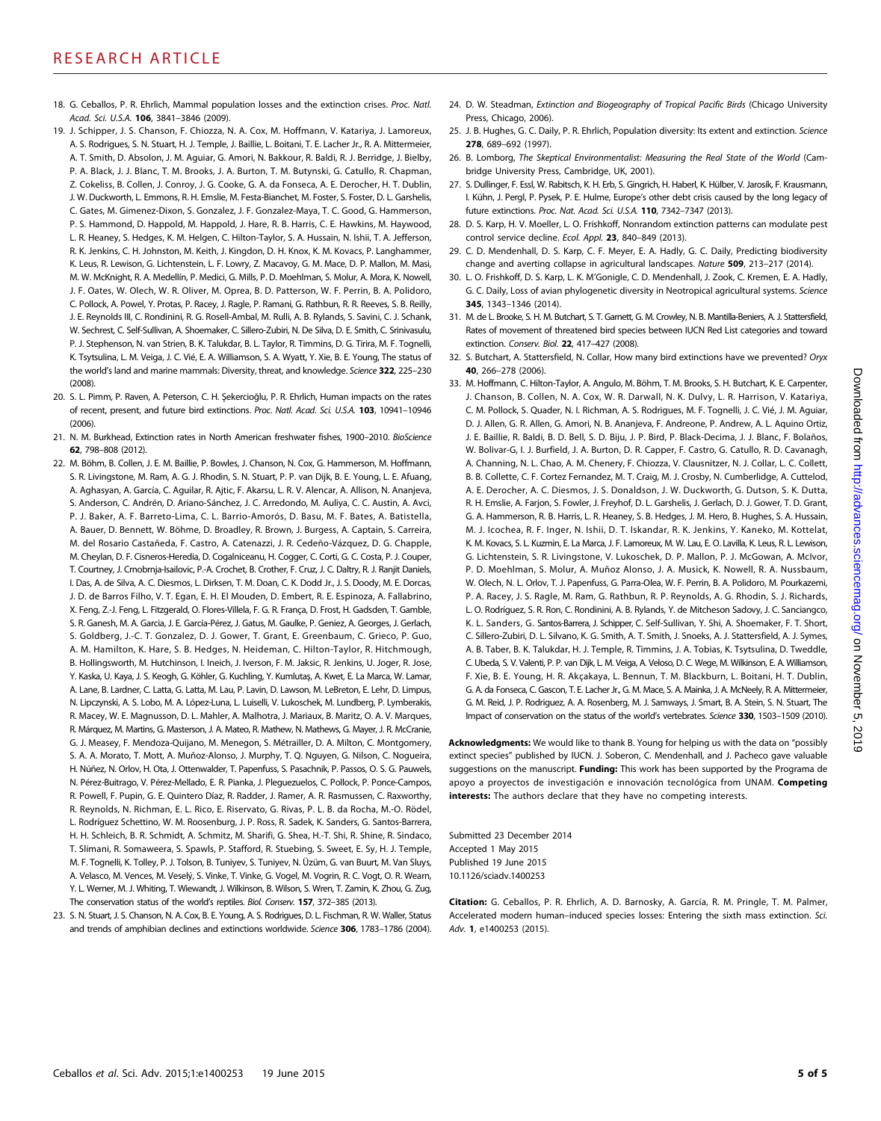- 18. G. Ceballos, P. R. Ehrlich, Mammal population losses and the extinction crises. Proc. Natl. Acad. Sci. U.S.A. 106, 3841-3846 (2009).
- 19. J. Schipper, J. S. Chanson, F. Chiozza, N. A. Cox, M. Hoffmann, V. Katariya, J. Lamoreux, A. S. Rodrigues, S. N. Stuart, H. J. Temple, J. Baillie, L. Boitani, T. E. Lacher Jr., R. A. Mittermeier, A. T. Smith, D. Absolon, J. M. Aguiar, G. Amori, N. Bakkour, R. Baldi, R. J. Berridge, J. Bielby, P. A. Black, J. J. Blanc, T. M. Brooks, J. A. Burton, T. M. Butynski, G. Catullo, R. Chapman, Z. Cokeliss, B. Collen, J. Conroy, J. G. Cooke, G. A. da Fonseca, A. E. Derocher, H. T. Dublin, J. W. Duckworth, L. Emmons, R. H. Emslie, M. Festa-Bianchet, M. Foster, S. Foster, D. L. Garshelis, C. Gates, M. Gimenez-Dixon, S. Gonzalez, J. F. Gonzalez-Maya, T. C. Good, G. Hammerson, P. S. Hammond, D. Happold, M. Happold, J. Hare, R. B. Harris, C. E. Hawkins, M. Haywood, L. R. Heaney, S. Hedges, K. M. Helgen, C. Hilton-Taylor, S. A. Hussain, N. Ishii, T. A. Jefferson, R. K. Jenkins, C. H. Johnston, M. Keith, J. Kingdon, D. H. Knox, K. M. Kovacs, P. Langhammer, K. Leus, R. Lewison, G. Lichtenstein, L. F. Lowry, Z. Macavoy, G. M. Mace, D. P. Mallon, M. Masi, M. W. McKnight, R. A. Medellín, P. Medici, G. Mills, P. D. Moehlman, S. Molur, A. Mora, K. Nowell, J. F. Oates, W. Olech, W. R. Oliver, M. Oprea, B. D. Patterson, W. F. Perrin, B. A. Polidoro, C. Pollock, A. Powel, Y. Protas, P. Racey, J. Ragle, P. Ramani, G. Rathbun, R. R. Reeves, S. B. Reilly, J. E. Reynolds III, C. Rondinini, R. G. Rosell-Ambal, M. Rulli, A. B. Rylands, S. Savini, C. J. Schank, W. Sechrest, C. Self-Sullivan, A. Shoemaker, C. Sillero-Zubiri, N. De Silva, D. E. Smith, C. Srinivasulu, P. J. Stephenson, N. van Strien, B. K. Talukdar, B. L. Taylor, R. Timmins, D. G. Tirira, M. F. Tognelli, K. Tsytsulina, L. M. Veiga, J. C. Vié, E. A. Williamson, S. A. Wyatt, Y. Xie, B. E. Young, The status of the world's land and marine mammals: Diversity, threat, and knowledge. Science 322, 225-230 (2008).
- 20. S. L. Pimm, P. Raven, A. Peterson, C. H. Şekercioğlu, P. R. Ehrlich, Human impacts on the rates of recent, present, and future bird extinctions. Proc. Natl. Acad. Sci. U.S.A. 103, 10941-10946 (2006).
- 21. N. M. Burkhead, Extinction rates in North American freshwater fishes, 1900–2010. BioScience 62, 798–808 (2012).
- 22. M. Böhm, B. Collen, J. E. M. Baillie, P. Bowles, J. Chanson, N. Cox, G. Hammerson, M. Hoffmann, S. R. Livingstone, M. Ram, A. G. J. Rhodin, S. N. Stuart, P. P. van Dijk, B. E. Young, L. E. Afuang, A. Aghasyan, A. García, C. Aguilar, R. Ajtic, F. Akarsu, L. R. V. Alencar, A. Allison, N. Ananjeva, S. Anderson, C. Andrén, D. Ariano-Sánchez, J. C. Arredondo, M. Auliya, C. C. Austin, A. Avci, P. J. Baker, A. F. Barreto-Lima, C. L. Barrio-Amorós, D. Basu, M. F. Bates, A. Batistella, A. Bauer, D. Bennett, W. Böhme, D. Broadley, R. Brown, J. Burgess, A. Captain, S. Carreira, M. del Rosario Castañeda, F. Castro, A. Catenazzi, J. R. Cedeño-Vázquez, D. G. Chapple, M. Cheylan, D. F. Cisneros-Heredia, D. Cogalniceanu, H. Cogger, C. Corti, G. C. Costa, P. J. Couper, T. Courtney, J. Crnobrnja-Isailovic, P.-A. Crochet, B. Crother, F. Cruz, J. C. Daltry, R. J. Ranjit Daniels, I. Das, A. de Silva, A. C. Diesmos, L. Dirksen, T. M. Doan, C. K. Dodd Jr., J. S. Doody, M. E. Dorcas, J. D. de Barros Filho, V. T. Egan, E. H. El Mouden, D. Embert, R. E. Espinoza, A. Fallabrino, X. Feng, Z.-J. Feng, L. Fitzgerald, O. Flores-Villela, F. G. R. França, D. Frost, H. Gadsden, T. Gamble, S. R. Ganesh, M. A. Garcia, J. E. García-Pérez, J. Gatus, M. Gaulke, P. Geniez, A. Georges, J. Gerlach, S. Goldberg, J.-C. T. Gonzalez, D. J. Gower, T. Grant, E. Greenbaum, C. Grieco, P. Guo, A. M. Hamilton, K. Hare, S. B. Hedges, N. Heideman, C. Hilton-Taylor, R. Hitchmough, B. Hollingsworth, M. Hutchinson, I. Ineich, J. Iverson, F. M. Jaksic, R. Jenkins, U. Joger, R. Jose, Y. Kaska, U. Kaya, J. S. Keogh, G. Köhler, G. Kuchling, Y. Kumlutaş, A. Kwet, E. La Marca, W. Lamar, A. Lane, B. Lardner, C. Latta, G. Latta, M. Lau, P. Lavin, D. Lawson, M. LeBreton, E. Lehr, D. Limpus, N. Lipczynski, A. S. Lobo, M. A. López-Luna, L. Luiselli, V. Lukoschek, M. Lundberg, P. Lymberakis, R. Macey, W. E. Magnusson, D. L. Mahler, A. Malhotra, J. Mariaux, B. Maritz, O. A. V. Marques, R. Márquez, M. Martins, G. Masterson, J. A. Mateo, R. Mathew, N. Mathews, G. Mayer, J. R. McCranie, G. J. Measey, F. Mendoza-Quijano, M. Menegon, S. Métrailler, D. A. Milton, C. Montgomery, S. A. A. Morato, T. Mott, A. Muñoz-Alonso, J. Murphy, T. Q. Nguyen, G. Nilson, C. Nogueira, H. Núñez, N. Orlov, H. Ota, J. Ottenwalder, T. Papenfuss, S. Pasachnik, P. Passos, O. S. G. Pauwels, N. Pérez-Buitrago, V. Pérez-Mellado, E. R. Pianka, J. Pleguezuelos, C. Pollock, P. Ponce-Campos, R. Powell, F. Pupin, G. E. Quintero Díaz, R. Radder, J. Ramer, A. R. Rasmussen, C. Raxworthy, R. Reynolds, N. Richman, E. L. Rico, E. Riservato, G. Rivas, P. L. B. da Rocha, M.-O. Rödel, L. Rodríguez Schettino, W. M. Roosenburg, J. P. Ross, R. Sadek, K. Sanders, G. Santos-Barrera, H. H. Schleich, B. R. Schmidt, A. Schmitz, M. Sharifi, G. Shea, H.-T. Shi, R. Shine, R. Sindaco, T. Slimani, R. Somaweera, S. Spawls, P. Stafford, R. Stuebing, S. Sweet, E. Sy, H. J. Temple, M. F. Tognelli, K. Tolley, P. J. Tolson, B. Tuniyev, S. Tuniyev, N. Üzüm, G. van Buurt, M. Van Sluys, A. Velasco, M. Vences, M. Veselý, S. Vinke, T. Vinke, G. Vogel, M. Vogrin, R. C. Vogt, O. R. Wearn, Y. L. Werner, M. J. Whiting, T. Wiewandt, J. Wilkinson, B. Wilson, S. Wren, T. Zamin, K. Zhou, G. Zug, The conservation status of the world's reptiles. Biol. Conserv. 157, 372–385 (2013).
- 23. S. N. Stuart, J. S. Chanson, N. A. Cox, B. E. Young, A. S. Rodrigues, D. L. Fischman, R. W. Waller, Status and trends of amphibian declines and extinctions worldwide. Science 306, 1783–1786 (2004).
- 24. D. W. Steadman, Extinction and Biogeography of Tropical Pacific Birds (Chicago University Press, Chicago, 2006).
- 25. J. B. Hughes, G. C. Daily, P. R. Ehrlich, Population diversity: Its extent and extinction. Science 278, 689–692 (1997).
- 26. B. Lomborg, The Skeptical Environmentalist: Measuring the Real State of the World (Cambridge University Press, Cambridge, UK, 2001).
- 27. S. Dullinger, F. Essl, W. Rabitsch, K. H. Erb, S. Gingrich, H. Haberl, K. Hülber, V. Jarosík, F. Krausmann, I. Kühn, J. Pergl, P. Pysek, P. E. Hulme, Europe's other debt crisis caused by the long legacy of future extinctions. Proc. Nat. Acad. Sci. U.S.A. 110, 7342–7347 (2013).
- 28. D. S. Karp, H. V. Moeller, L. O. Frishkoff, Nonrandom extinction patterns can modulate pest control service decline. Ecol. Appl. 23, 840–849 (2013).
- 29. C. D. Mendenhall, D. S. Karp, C. F. Meyer, E. A. Hadly, G. C. Daily, Predicting biodiversity change and averting collapse in agricultural landscapes. Nature 509, 213–217 (2014).
- 30. L. O. Frishkoff, D. S. Karp, L. K. M'Gonigle, C. D. Mendenhall, J. Zook, C. Kremen, E. A. Hadly, G. C. Daily, Loss of avian phylogenetic diversity in Neotropical agricultural systems. Science 345, 1343–1346 (2014).
- 31. M. de L. Brooke, S. H. M. Butchart, S. T. Garnett, G. M. Crowley, N. B. Mantilla-Beniers, A. J. Stattersfield, Rates of movement of threatened bird species between IUCN Red List categories and toward extinction. Conserv. Biol. 22, 417–427 (2008).
- 32. S. Butchart, A. Stattersfield, N. Collar, How many bird extinctions have we prevented? Oryx 40, 266–278 (2006).
- 33. M. Hoffmann, C. Hilton-Taylor, A. Angulo, M. Böhm, T. M. Brooks, S. H. Butchart, K. E. Carpenter, J. Chanson, B. Collen, N. A. Cox, W. R. Darwall, N. K. Dulvy, L. R. Harrison, V. Katariya, C. M. Pollock, S. Quader, N. I. Richman, A. S. Rodrigues, M. F. Tognelli, J. C. Vié, J. M. Aguiar, D. J. Allen, G. R. Allen, G. Amori, N. B. Ananjeva, F. Andreone, P. Andrew, A. L. Aquino Ortiz, J. E. Baillie, R. Baldi, B. D. Bell, S. D. Biju, J. P. Bird, P. Black-Decima, J. J. Blanc, F. Bolaños, W. Bolivar-G, I. J. Burfield, J. A. Burton, D. R. Capper, F. Castro, G. Catullo, R. D. Cavanagh, A. Channing, N. L. Chao, A. M. Chenery, F. Chiozza, V. Clausnitzer, N. J. Collar, L. C. Collett, B. B. Collette, C. F. Cortez Fernandez, M. T. Craig, M. J. Crosby, N. Cumberlidge, A. Cuttelod, A. E. Derocher, A. C. Diesmos, J. S. Donaldson, J. W. Duckworth, G. Dutson, S. K. Dutta, R. H. Emslie, A. Farjon, S. Fowler, J. Freyhof, D. L. Garshelis, J. Gerlach, D. J. Gower, T. D. Grant, G. A. Hammerson, R. B. Harris, L. R. Heaney, S. B. Hedges, J. M. Hero, B. Hughes, S. A. Hussain, M. J. Icochea, R. F. Inger, N. Ishii, D. T. Iskandar, R. K. Jenkins, Y. Kaneko, M. Kottelat, K. M. Kovacs, S. L. Kuzmin, E. La Marca, J. F. Lamoreux, M. W. Lau, E. O. Lavilla, K. Leus, R. L. Lewison, G. Lichtenstein, S. R. Livingstone, V. Lukoschek, D. P. Mallon, P. J. McGowan, A. McIvor, P. D. Moehlman, S. Molur, A. Muñoz Alonso, J. A. Musick, K. Nowell, R. A. Nussbaum, W. Olech, N. L. Orlov, T. J. Papenfuss, G. Parra-Olea, W. F. Perrin, B. A. Polidoro, M. Pourkazemi, P. A. Racey, J. S. Ragle, M. Ram, G. Rathbun, R. P. Reynolds, A. G. Rhodin, S. J. Richards, L. O. Rodríguez, S. R. Ron, C. Rondinini, A. B. Rylands, Y. de Mitcheson Sadovy, J. C. Sanciangco, K. L. Sanders, G. Santos-Barrera, J. Schipper, C. Self-Sullivan, Y. Shi, A. Shoemaker, F. T. Short, C. Sillero-Zubiri, D. L. Silvano, K. G. Smith, A. T. Smith, J. Snoeks, A. J. Stattersfield, A. J. Symes, A. B. Taber, B. K. Talukdar, H. J. Temple, R. Timmins, J. A. Tobias, K. Tsytsulina, D. Tweddle, C. Ubeda, S. V. Valenti, P. P. van Dijk, L. M. Veiga, A. Veloso, D. C. Wege, M. Wilkinson, E. A. Williamson, F. Xie, B. E. Young, H. R. Akçakaya, L. Bennun, T. M. Blackburn, L. Boitani, H. T. Dublin, G. A. da Fonseca, C. Gascon, T. E. Lacher Jr., G. M. Mace, S. A. Mainka, J. A. McNeely, R. A. Mittermeier, G. M. Reid, J. P. Rodriguez, A. A. Rosenberg, M. J. Samways, J. Smart, B. A. Stein, S. N. Stuart, The Impact of conservation on the status of the world's vertebrates. Science 330, 1503–1509 (2010).

Acknowledgments: We would like to thank B. Young for helping us with the data on "possibly extinct species" published by IUCN. J. Soberon, C. Mendenhall, and J. Pacheco gave valuable suggestions on the manuscript. Funding: This work has been supported by the Programa de apoyo a proyectos de investigación e innovación tecnológica from UNAM. Competing interests: The authors declare that they have no competing interests.

Submitted 23 December 2014 Accepted 1 May 2015 Published 19 June 2015 10.1126/sciadv.1400253

Citation: G. Ceballos, P. R. Ehrlich, A. D. Barnosky, A. García, R. M. Pringle, T. M. Palmer, Accelerated modern human–induced species losses: Entering the sixth mass extinction. Sci. Adv. 1, e1400253 (2015).